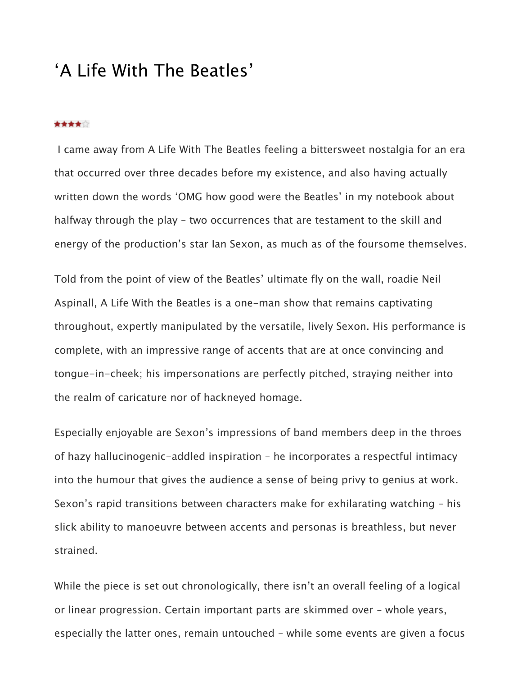## 'A Life With The Beatles'

## \*\*\*\*\*

I came away from A Life With The Beatles feeling a bittersweet nostalgia for an era that occurred over three decades before my existence, and also having actually written down the words 'OMG how good were the Beatles' in my notebook about halfway through the play – two occurrences that are testament to the skill and energy of the production's star Ian Sexon, as much as of the foursome themselves.

Told from the point of view of the Beatles' ultimate fly on the wall, roadie Neil Aspinall, A Life With the Beatles is a one-man show that remains captivating throughout, expertly manipulated by the versatile, lively Sexon. His performance is complete, with an impressive range of accents that are at once convincing and tongue-in-cheek; his impersonations are perfectly pitched, straying neither into the realm of caricature nor of hackneyed homage.

Especially enjoyable are Sexon's impressions of band members deep in the throes of hazy hallucinogenic-addled inspiration – he incorporates a respectful intimacy into the humour that gives the audience a sense of being privy to genius at work. Sexon's rapid transitions between characters make for exhilarating watching – his slick ability to manoeuvre between accents and personas is breathless, but never strained.

While the piece is set out chronologically, there isn't an overall feeling of a logical or linear progression. Certain important parts are skimmed over – whole years, especially the latter ones, remain untouched – while some events are given a focus